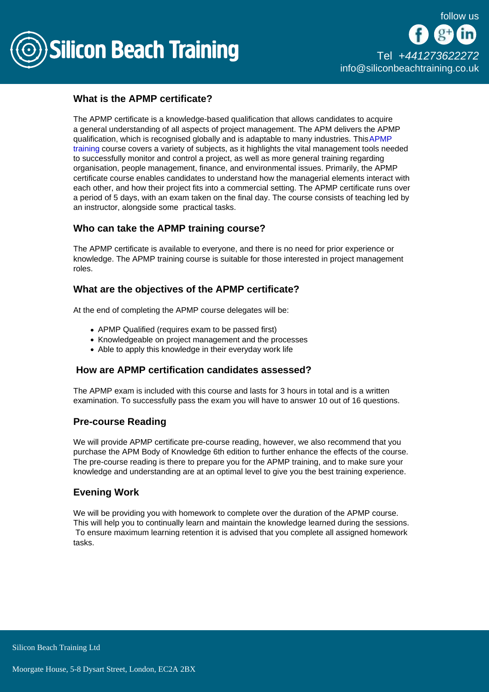

# What is the APMP certificate?

The APMP certificate is a knowledge-based qualification that allows candidates to acquire a general understanding of all aspects of project management. The APM delivers the APMP qualification, which is recognised globally and is adaptable to many industries. This [APMP](/apmp-training)  [training](/apmp-training) course covers a variety of subjects, as it highlights the vital management tools needed to successfully monitor and control a project, as well as more general training regarding organisation, people management, finance, and environmental issues. Primarily, the APMP certificate course enables candidates to understand how the managerial elements interact with each other, and how their project fits into a commercial setting. The APMP certificate runs over a period of 5 days, with an exam taken on the final day. The course consists of teaching led by an instructor, alongside some practical tasks.

## Who can take the APMP training course?

The APMP certificate is available to everyone, and there is no need for prior experience or knowledge. The APMP training course is suitable for those interested in project management roles.

### What are the objectives of the APMP certificate?

At the end of completing the APMP course delegates will be:

- APMP Qualified (requires exam to be passed first)
- Knowledgeable on project management and the processes
- Able to apply this knowledge in their everyday work life

#### How are APMP certification candidates assessed?

The APMP exam is included with this course and lasts for 3 hours in total and is a written examination. To successfully pass the exam you will have to answer 10 out of 16 questions.

## Pre-course Reading

We will provide APMP certificate pre-course reading, however, we also recommend that you purchase the APM Body of Knowledge 6th edition to further enhance the effects of the course. The pre-course reading is there to prepare you for the APMP training, and to make sure your knowledge and understanding are at an optimal level to give you the best training experience.

#### Evening Work

We will be providing you with homework to complete over the duration of the APMP course. This will help you to continually learn and maintain the knowledge learned during the sessions. To ensure maximum learning retention it is advised that you complete all assigned homework tasks.